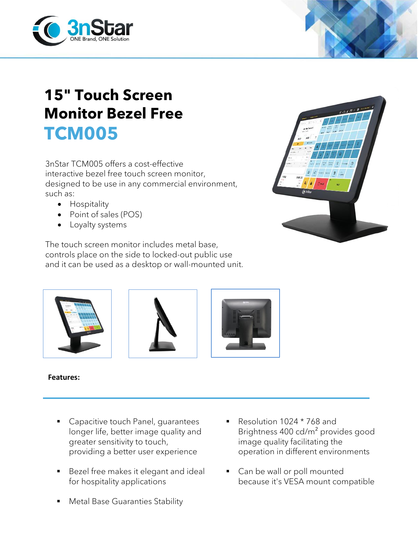

## **15" Touch Screen Monitor Bezel Free TCM005**

3nStar TCM005 offers a cost-effective interactive bezel free touch screen monitor, designed to be use in any commercial environment, such as:

- Hospitality
- Point of sales (POS)
- Loyalty systems

The touch screen monitor includes metal base, controls place on the side to locked-out public use and it can be used as a desktop or wall-mounted unit.







**Features:**

- **Capacitive touch Panel, guarantees** longer life, better image quality and greater sensitivity to touch, providing a better user experience
- Bezel free makes it elegant and ideal for hospitality applications
- **Metal Base Guaranties Stability**
- Resolution 1024 \* 768 and Brightness 400 cd/m² provides good image quality facilitating the operation in different environments
- Can be wall or poll mounted because it's VESA mount compatible